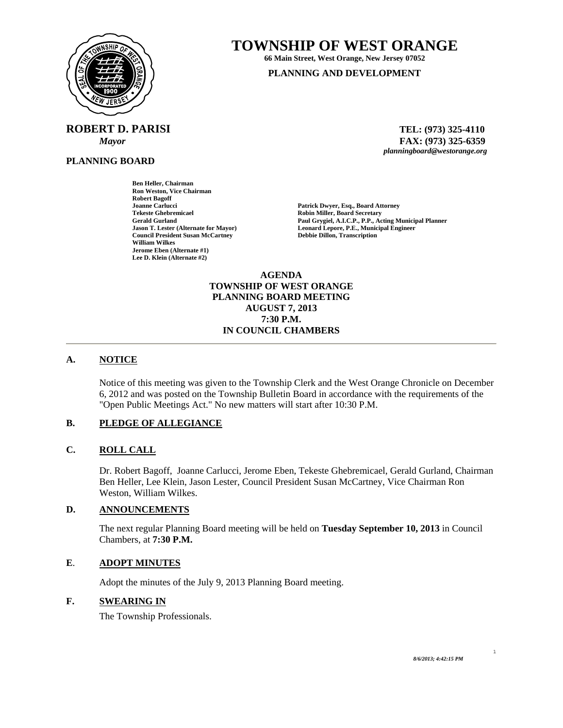

**ROBERT D. PARISI TEL: (973) 325-4110** 

**Ben Heller, Chairman Ron Weston, Vice Chairman** 

**Council President Susan McCartney** 

**Robert Bagoff** 

**William Wilkes Jerome Eben (Alternate #1) Lee D. Klein (Alternate #2)** 

**PLANNING BOARD**

**TOWNSHIP OF WEST ORANGE** 

**66 Main Street, West Orange, New Jersey 07052 PLANNING AND DEVELOPMENT**

 *Mayor* **FAX: (973) 325-6359** *planningboard@westorange.org* 

**Joanne Carlucci 1986 1986 1997 12:30 13:30 13:40 13:40 14:40 14:40 14:40 14:40 14:40 14:40 14:40 14:40 14:40 14:40 14:40 14:40 14:40 14:40 14:40 14:40 14:40 14:40 14:40 14:40 14:40 14:40 14:40 14:40 14:40 14:40 14:40 14:4 Tekeste Ghebremicael 2008 18 Community Robin Miller, Board Secretary Gerald Gurland 2008 18 Community Paul Grygiel, A.I.C.P., P.P., Actor Gerald Gurland Paul Grygiel, A.I.C.P., P.P., Acting Municipal Planner Leonard Lepore, P.E., Municipal Engineer Debbie Dillon, Transcription** 

> **AGENDA TOWNSHIP OF WEST ORANGE PLANNING BOARD MEETING AUGUST 7, 2013 7:30 P.M. IN COUNCIL CHAMBERS**

# **A. NOTICE**

Notice of this meeting was given to the Township Clerk and the West Orange Chronicle on December 6, 2012 and was posted on the Township Bulletin Board in accordance with the requirements of the "Open Public Meetings Act." No new matters will start after 10:30 P.M.

# **B. PLEDGE OF ALLEGIANCE**

### **C. ROLL CALL**

Dr. Robert Bagoff, Joanne Carlucci, Jerome Eben, Tekeste Ghebremicael, Gerald Gurland, Chairman Ben Heller, Lee Klein, Jason Lester, Council President Susan McCartney, Vice Chairman Ron Weston, William Wilkes.

## **D. ANNOUNCEMENTS**

The next regular Planning Board meeting will be held on **Tuesday September 10, 2013** in Council Chambers, at **7:30 P.M.** 

### **E**. **ADOPT MINUTES**

Adopt the minutes of the July 9, 2013 Planning Board meeting.

## **F. SWEARING IN**

The Township Professionals.